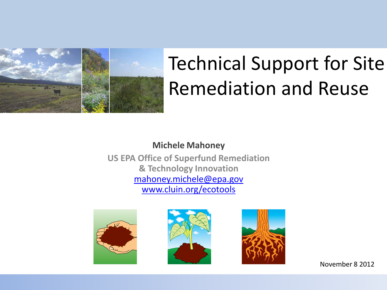

## Technical Support for Site Remediation and Reuse

#### **Michele Mahoney**

**US EPA Office of Superfund Remediation & Technology Innovation** [mahoney.michele@epa.gov](mailto:mahoney.michele@epa.gov) [www.cluin.org/ecotools](http://www.cluin.org/ecotools)







November 8 2012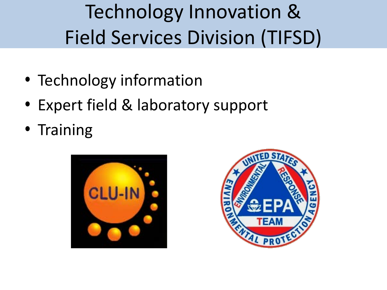Technology Innovation & Field Services Division (TIFSD)

- Technology information
- Expert field & laboratory support
- Training



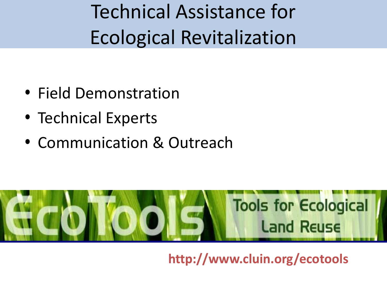Technical Assistance for Ecological Revitalization

- Field Demonstration
- Technical Experts
- Communication & Outreach



**http://www.cluin.org/ecotools**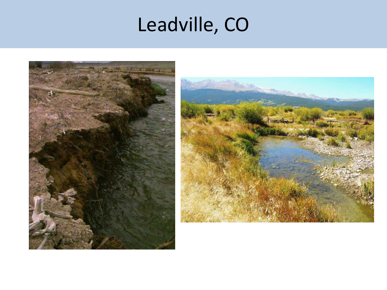## Leadville, CO



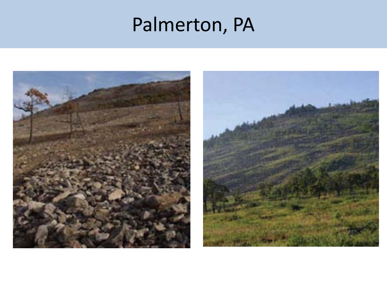### Palmerton, PA

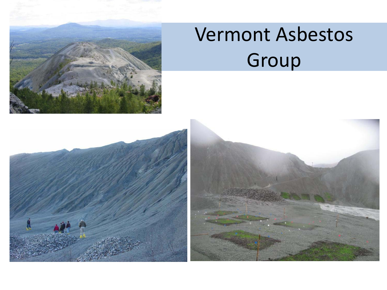

## Vermont Asbestos Group

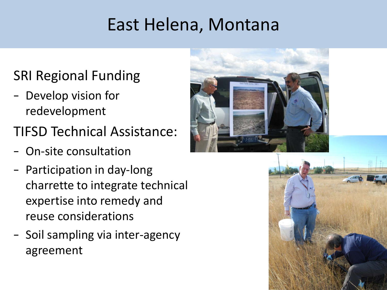### East Helena, Montana

- SRI Regional Funding
- Develop vision for redevelopment
- TIFSD Technical Assistance:
- On-site consultation
- Participation in day-long charrette to integrate technical expertise into remedy and reuse considerations
- Soil sampling via inter-agency agreement



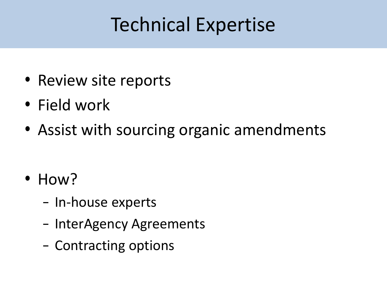## Technical Expertise

- Review site reports
- Field work
- Assist with sourcing organic amendments

- How?
	- In-house experts
	- InterAgency Agreements
	- Contracting options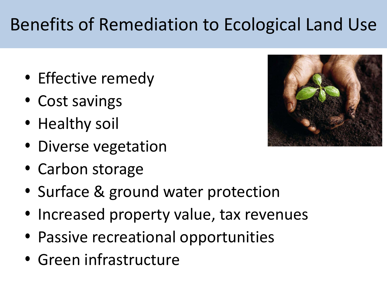### Benefits of Remediation to Ecological Land Use

- Effective remedy
- Cost savings
- Healthy soil
- Diverse vegetation
- Carbon storage
- Surface & ground water protection
- Increased property value, tax revenues
- Passive recreational opportunities
- Green infrastructure

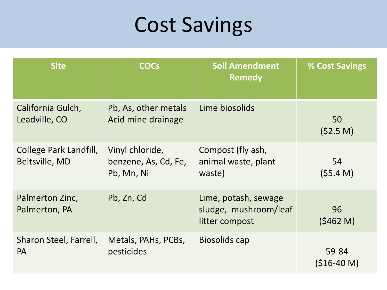## Cost Savings

| <b>Site</b>                              | <b>COCs</b>                                           | <b>Soil Amendment</b><br><b>Remedy</b>                          | % Cost Savings        |
|------------------------------------------|-------------------------------------------------------|-----------------------------------------------------------------|-----------------------|
| California Gulch,<br>Leadville, CO       | Pb, As, other metals<br>Acid mine drainage            | Lime biosolids                                                  | 50<br>(52.5 M)        |
| College Park Landfill,<br>Beltsville, MD | Vinyl chloride,<br>benzene, As, Cd, Fe,<br>Pb, Mn, Ni | Compost (fly ash,<br>animal waste, plant<br>waste)              | 54<br>(55.4 M)        |
| Palmerton Zinc,<br>Palmerton, PA         | Pb, Zn, Cd                                            | Lime, potash, sewage<br>sludge, mushroom/leaf<br>litter compost | 96<br>(5462 M)        |
| Sharon Steel, Farrell,<br><b>PA</b>      | Metals, PAHs, PCBs,<br>pesticides                     | Biosolids cap                                                   | 59-84<br>$(516-40 M)$ |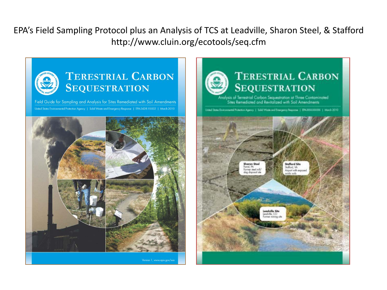EPA's Field Sampling Protocol plus an Analysis of TCS at Leadville, Sharon Steel, & Stafford http://www.cluin.org/ecotools/seq.cfm



Field Guide for Sampling and Analysis for Sites Remediated with Soil Amendments United States Environmental Protection Agency | Solid Waste and Emergency Response | EPA-542-R-10-002 | March 2010





#### **TERESTRIAL CARBON SEQUESTRATION**

Analysis of Terrestrial Carbon Sequestration at Three Contaminated Sites Remediated and Revitalized with Sail Amendments

United States Environmental Protection Agency | Solid Washi and Emergency Response | EPAJOXXXXXXX | March 2010

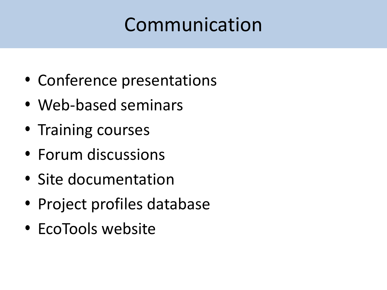### Communication

- Conference presentations
- Web-based seminars
- Training courses
- Forum discussions
- Site documentation
- Project profiles database
- EcoTools website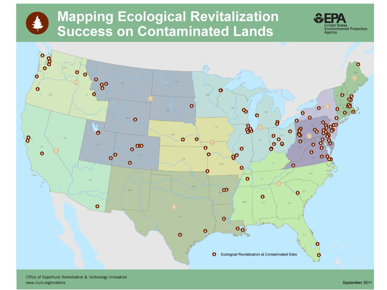### **Mapping Ecological Revitalization Success on Contaminated Lands**



nited States

Agency

**Environmental Protection**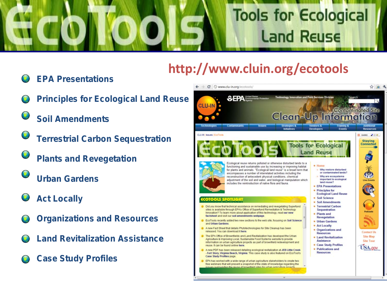# **Tools for Ecological Land Reuse**

### **http://www.cluin.org/ecotools**

- **EPA Presentations**
- **Principles for Ecological Land Reuse**
- **Soil Amendments**
- **Terrestrial Carbon Sequestration**
	- **Plants and Revegetation**
- **Urban Gardens**
- **Act Locally**
- **Organizations and Resources**
- **Land Revitalization Assistance**
- **Case Study Profiles**